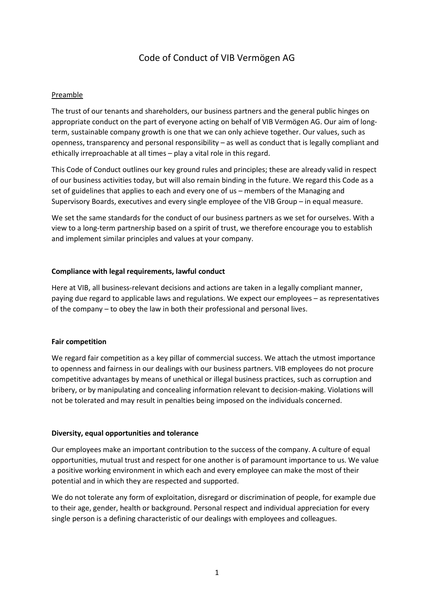# Code of Conduct of VIB Vermögen AG

# Preamble

The trust of our tenants and shareholders, our business partners and the general public hinges on appropriate conduct on the part of everyone acting on behalf of VIB Vermögen AG. Our aim of longterm, sustainable company growth is one that we can only achieve together. Our values, such as openness, transparency and personal responsibility – as well as conduct that is legally compliant and ethically irreproachable at all times – play a vital role in this regard.

This Code of Conduct outlines our key ground rules and principles; these are already valid in respect of our business activities today, but will also remain binding in the future. We regard this Code as a set of guidelines that applies to each and every one of us – members of the Managing and Supervisory Boards, executives and every single employee of the VIB Group – in equal measure.

We set the same standards for the conduct of our business partners as we set for ourselves. With a view to a long-term partnership based on a spirit of trust, we therefore encourage you to establish and implement similar principles and values at your company.

## **Compliance with legal requirements, lawful conduct**

Here at VIB, all business-relevant decisions and actions are taken in a legally compliant manner, paying due regard to applicable laws and regulations. We expect our employees – as representatives of the company – to obey the law in both their professional and personal lives.

## **Fair competition**

We regard fair competition as a key pillar of commercial success. We attach the utmost importance to openness and fairness in our dealings with our business partners. VIB employees do not procure competitive advantages by means of unethical or illegal business practices, such as corruption and bribery, or by manipulating and concealing information relevant to decision-making. Violations will not be tolerated and may result in penalties being imposed on the individuals concerned.

## **Diversity, equal opportunities and tolerance**

Our employees make an important contribution to the success of the company. A culture of equal opportunities, mutual trust and respect for one another is of paramount importance to us. We value a positive working environment in which each and every employee can make the most of their potential and in which they are respected and supported.

We do not tolerate any form of exploitation, disregard or discrimination of people, for example due to their age, gender, health or background. Personal respect and individual appreciation for every single person is a defining characteristic of our dealings with employees and colleagues.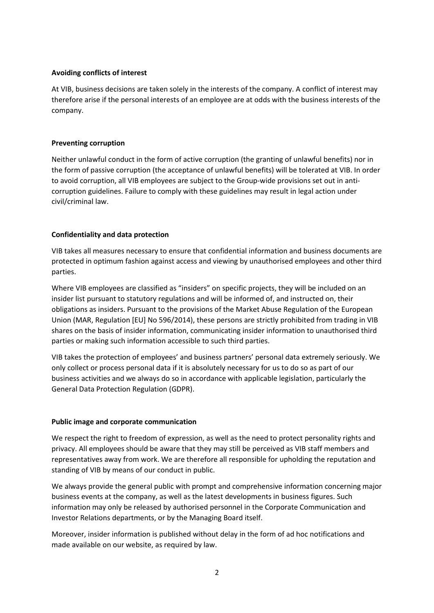## **Avoiding conflicts of interest**

At VIB, business decisions are taken solely in the interests of the company. A conflict of interest may therefore arise if the personal interests of an employee are at odds with the business interests of the company.

## **Preventing corruption**

Neither unlawful conduct in the form of active corruption (the granting of unlawful benefits) nor in the form of passive corruption (the acceptance of unlawful benefits) will be tolerated at VIB. In order to avoid corruption, all VIB employees are subject to the Group-wide provisions set out in anticorruption guidelines. Failure to comply with these guidelines may result in legal action under civil/criminal law.

# **Confidentiality and data protection**

VIB takes all measures necessary to ensure that confidential information and business documents are protected in optimum fashion against access and viewing by unauthorised employees and other third parties.

Where VIB employees are classified as "insiders" on specific projects, they will be included on an insider list pursuant to statutory regulations and will be informed of, and instructed on, their obligations as insiders. Pursuant to the provisions of the Market Abuse Regulation of the European Union (MAR, Regulation [EU] No 596/2014), these persons are strictly prohibited from trading in VIB shares on the basis of insider information, communicating insider information to unauthorised third parties or making such information accessible to such third parties.

VIB takes the protection of employees' and business partners' personal data extremely seriously. We only collect or process personal data if it is absolutely necessary for us to do so as part of our business activities and we always do so in accordance with applicable legislation, particularly the General Data Protection Regulation (GDPR).

## **Public image and corporate communication**

We respect the right to freedom of expression, as well as the need to protect personality rights and privacy. All employees should be aware that they may still be perceived as VIB staff members and representatives away from work. We are therefore all responsible for upholding the reputation and standing of VIB by means of our conduct in public.

We always provide the general public with prompt and comprehensive information concerning major business events at the company, as well as the latest developments in business figures. Such information may only be released by authorised personnel in the Corporate Communication and Investor Relations departments, or by the Managing Board itself.

Moreover, insider information is published without delay in the form of ad hoc notifications and made available on our website, as required by law.